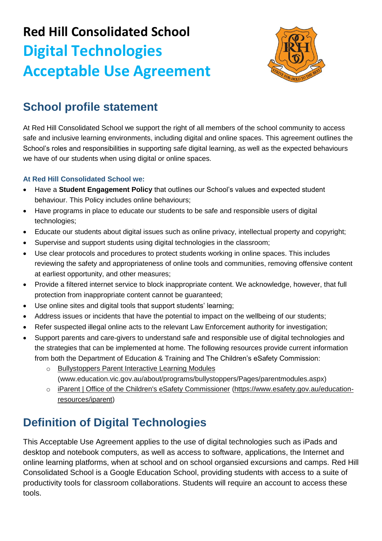# **Red Hill Consolidated School Digital Technologies Acceptable Use Agreement**



### **School profile statement**

At Red Hill Consolidated School we support the right of all members of the school community to access safe and inclusive learning environments, including digital and online spaces. This agreement outlines the School's roles and responsibilities in supporting safe digital learning, as well as the expected behaviours we have of our students when using digital or online spaces.

#### **At Red Hill Consolidated School we:**

- Have a **Student Engagement Policy** that outlines our School's values and expected student behaviour. This Policy includes online behaviours;
- Have programs in place to educate our students to be safe and responsible users of digital technologies;
- Educate our students about digital issues such as online privacy, intellectual property and copyright;
- Supervise and support students using digital technologies in the classroom;
- Use clear protocols and procedures to protect students working in online spaces. This includes reviewing the safety and appropriateness of online tools and communities, removing offensive content at earliest opportunity, and other measures;
- Provide a filtered internet service to block inappropriate content. We acknowledge, however, that full protection from inappropriate content cannot be guaranteed;
- Use online sites and digital tools that support students' learning;
- Address issues or incidents that have the potential to impact on the wellbeing of our students;
- Refer suspected illegal online acts to the relevant Law Enforcement authority for investigation;
- Support parents and care-givers to understand safe and responsible use of digital technologies and the strategies that can be implemented at home. The following resources provide current information from both the [Department of Education & Training](http://www.education.vic.gov.au/about/programs/bullystoppers/Pages/parentmodules.aspx) and The Children's eSafety Commission:
	- o [Bullystoppers Parent Interactive Learning Modules](http://www.education.vic.gov.au/about/programs/bullystoppers/Pages/parentmodules.aspx) [\(www.education.vic.gov.au/about/programs/bullystoppers/Pages/parentmodules.aspx\)](http://www.education.vic.gov.au/about/programs/bullystoppers/Pages/parentmodules.aspx)
	- o [iParent | Office of the Children's eSafety Commissioner](https://www.esafety.gov.au/education-resources/iparent) [\(https://www.esafety.gov.au/education](https://www.esafety.gov.au/education-resources/iparent)[resources/iparent\)](https://www.esafety.gov.au/education-resources/iparent)

### **Definition of Digital Technologies**

This Acceptable Use Agreement applies to the use of digital technologies such as iPads and desktop and notebook computers, as well as access to software, applications, the Internet and online learning platforms, when at school and on school organsied excursions and camps. Red Hill Consolidated School is a Google Education School, providing students with access to a suite of productivity tools for classroom collaborations. Students will require an account to access these tools.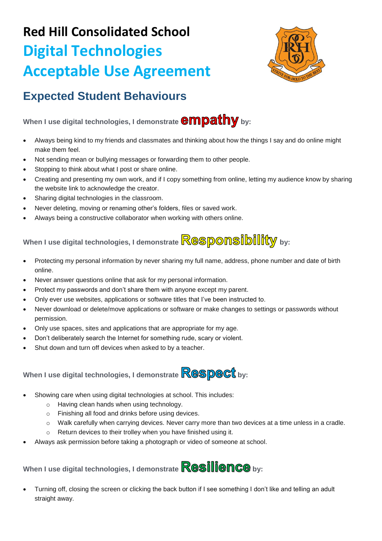# **Red Hill Consolidated School Digital Technologies Acceptable Use Agreement**



#### **Expected Student Behaviours**

When I use digital technologies, I demonstrate **empathy** by:

- Always being kind to my friends and classmates and thinking about how the things I say and do online might make them feel.
- Not sending mean or bullying messages or forwarding them to other people.
- Stopping to think about what I post or share online.
- Creating and presenting my own work, and if I copy something from online, letting my audience know by sharing the website link to acknowledge the creator.
- Sharing digital technologies in the classroom.
- Never deleting, moving or renaming other's folders, files or saved work.
- Always being a constructive collaborator when working with others online.

### **When I use digital technologies, I demonstrate Responsibility** by:

- Protecting my personal information by never sharing my full name, address, phone number and date of birth online.
- Never answer questions online that ask for my personal information.
- Protect my passwords and don't share them with anyone except my parent.
- Only ever use websites, applications or software titles that I've been instructed to.
- Never download or delete/move applications or software or make changes to settings or passwords without permission.
- Only use spaces, sites and applications that are appropriate for my age.
- Don't deliberately search the Internet for something rude, scary or violent.
- Shut down and turn off devices when asked to by a teacher.

### When I use digital technologies, I demonstrate **Respect** by:

- Showing care when using digital technologies at school. This includes:
	- o Having clean hands when using technology.
	- o Finishing all food and drinks before using devices.
	- o Walk carefully when carrying devices. Never carry more than two devices at a time unless in a cradle.
	- o Return devices to their trolley when you have finished using it.
- Always ask permission before taking a photograph or video of someone at school.

When I use digital technologies, I demonstrate **Resilience** bv:

 Turning off, closing the screen or clicking the back button if I see something I don't like and telling an adult straight away.